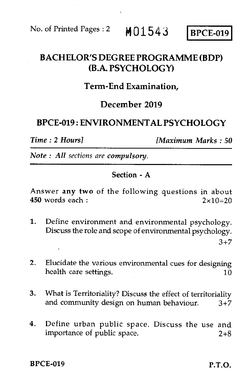No. of Printed Pages : 2 MO1543 BPCE-019

# BACHELOR'S DEGREE PROGRAMME (BDP) (B.A. PSYCHOLOGY)

# Term-End Examination,

## December 2019

# BPCE-019 : ENVIRONMENTAL PSYCHOLOGY

*Time : 2 Hours] [Maximum Marks : 50* 

*Note : All sections are compulsory.* 

#### Section - A

Answer any two of the following questions in about 450 words each :  $2 \times 10 = 20$ 

- 1. Define environment and environmental psychology. Discuss the role and scope of environmental psychology.  $3+7$
- 2. Elucidate the various environmental cues for designing health care settings.  $10$
- 3. What is Territoriality? Discuss the effect of territoriality and community design on human behaviour.  $3+7$
- 4. Define urban public space. Discuss the use and importance of public space. 2+8

BPCE-019 P.T.O.